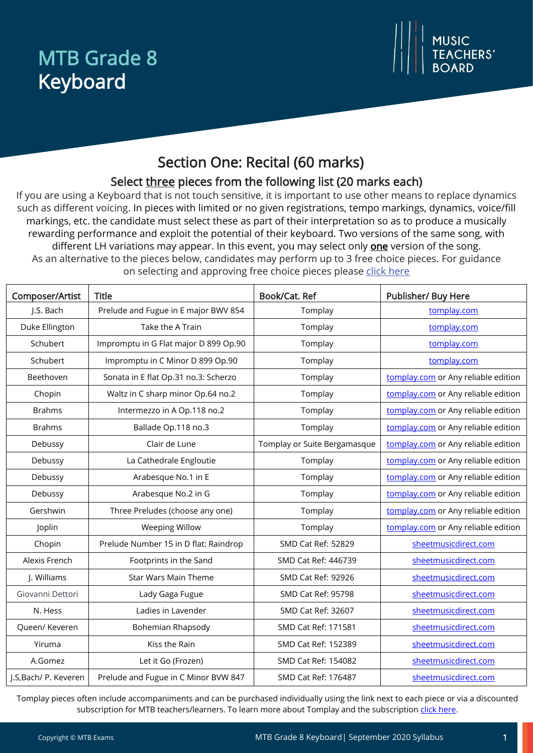## MTB Grade 8 Keyboard



## Section One: Recital (60 marks)

### Select three pieces from the following list (20 marks each)

If you are using a Keyboard that is not touch sensitive, it is important to use other means to replace dynamics such as different voicing. In pieces with limited or no given registrations, tempo markings, dynamics, voice/fill markings, etc. the candidate must select these as part of their interpretation so as to produce a musically rewarding performance and exploit the potential of their keyboard. Two versions of the same song, with different LH variations may appear. In this event, you may select only **one** version of the song. As an alternative to the pieces below, candidates may perform up to 3 free choice pieces. For guidance on selecting and approving free choice pieces please click here

| Composer/Artist       | <b>Title</b>                          | Book/Cat. Ref                | Publisher/ Buy Here                 |
|-----------------------|---------------------------------------|------------------------------|-------------------------------------|
| J.S. Bach             | Prelude and Fugue in E major BWV 854  | Tomplay                      | tomplay.com                         |
| Duke Ellington        | Take the A Train                      | Tomplay                      | tomplay.com                         |
| Schubert              | Impromptu in G Flat major D 899 Op.90 | Tomplay                      | tomplay.com                         |
| Schubert              | Impromptu in C Minor D 899 Op.90      | Tomplay                      | tomplay.com                         |
| Beethoven             | Sonata in E flat Op.31 no.3: Scherzo  | Tomplay                      | tomplay.com or Any reliable edition |
| Chopin                | Waltz in C sharp minor Op.64 no.2     | Tomplay                      | tomplay.com or Any reliable edition |
| <b>Brahms</b>         | Intermezzo in A Op.118 no.2           | Tomplay                      | tomplay.com or Any reliable edition |
| <b>Brahms</b>         | Ballade Op.118 no.3                   | Tomplay                      | tomplay.com or Any reliable edition |
| Debussy               | Clair de Lune                         | Tomplay or Suite Bergamasque | tomplay.com or Any reliable edition |
| Debussy               | La Cathedrale Engloutie               | Tomplay                      | tomplay.com or Any reliable edition |
| Debussy               | Arabesque No.1 in E                   | Tomplay                      | tomplay.com or Any reliable edition |
| Debussy               | Arabesque No.2 in G                   | Tomplay                      | tomplay.com or Any reliable edition |
| Gershwin              | Three Preludes (choose any one)       | Tomplay                      | tomplay.com or Any reliable edition |
| Joplin                | <b>Weeping Willow</b>                 | Tomplay                      | tomplay.com or Any reliable edition |
| Chopin                | Prelude Number 15 in D flat: Raindrop | SMD Cat Ref: 52829           | sheetmusicdirect.com                |
| Alexis French         | Footprints in the Sand                | SMD Cat Ref: 446739          | sheetmusicdirect.com                |
| J. Williams           | <b>Star Wars Main Theme</b>           | SMD Cat Ref: 92926           | sheetmusicdirect.com                |
| Giovanni Dettori      | Lady Gaga Fugue                       | SMD Cat Ref: 95798           | sheetmusicdirect.com                |
| N. Hess               | Ladies in Lavender                    | SMD Cat Ref: 32607           | sheetmusicdirect.com                |
| Queen/ Keveren        | <b>Bohemian Rhapsody</b>              | SMD Cat Ref: 171581          | sheetmusicdirect.com                |
| Yiruma                | Kiss the Rain                         | SMD Cat Ref: 152389          | sheetmusicdirect.com                |
| A.Gomez               | Let it Go (Frozen)                    | SMD Cat Ref: 154082          | sheetmusicdirect.com                |
| J.S, Bach/ P. Keveren | Prelude and Fugue in C Minor BVW 847  | SMD Cat Ref: 176487          | sheetmusicdirect.com                |

Tomplay pieces often include accompaniments and can be purchased individually using the link next to each piece or via a discounted subscription for MTB teachers/learners. To learn more about Tomplay and the subscription [click here.](https://www.mtbexams.com/2020/09/14/mtb-partner-with-tomplay/)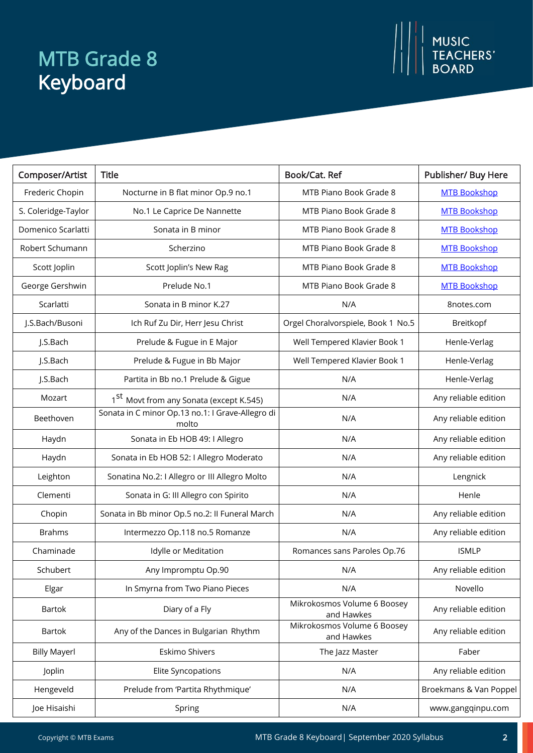# MTB Grade 8 Keyboard

| Composer/Artist     | <b>Title</b>                                              | Book/Cat. Ref                             | Publisher/ Buy Here    |
|---------------------|-----------------------------------------------------------|-------------------------------------------|------------------------|
| Frederic Chopin     | Nocturne in B flat minor Op.9 no.1                        | MTB Piano Book Grade 8                    | <b>MTB Bookshop</b>    |
| S. Coleridge-Taylor | No.1 Le Caprice De Nannette                               | MTB Piano Book Grade 8                    | <b>MTB Bookshop</b>    |
| Domenico Scarlatti  | Sonata in B minor                                         | MTB Piano Book Grade 8                    | <b>MTB Bookshop</b>    |
| Robert Schumann     | Scherzino                                                 | MTB Piano Book Grade 8                    | <b>MTB Bookshop</b>    |
| Scott Joplin        | Scott Joplin's New Rag                                    | MTB Piano Book Grade 8                    | <b>MTB Bookshop</b>    |
| George Gershwin     | Prelude No.1                                              | MTB Piano Book Grade 8                    | <b>MTB Bookshop</b>    |
| Scarlatti           | Sonata in B minor K.27                                    | N/A                                       | 8notes.com             |
| J.S.Bach/Busoni     | Ich Ruf Zu Dir, Herr Jesu Christ                          | Orgel Choralvorspiele, Book 1 No.5        | Breitkopf              |
| J.S.Bach            | Prelude & Fugue in E Major                                | Well Tempered Klavier Book 1              | Henle-Verlag           |
| J.S.Bach            | Prelude & Fugue in Bb Major                               | Well Tempered Klavier Book 1              | Henle-Verlag           |
| J.S.Bach            | Partita in Bb no.1 Prelude & Gigue                        | N/A                                       | Henle-Verlag           |
| Mozart              | 1 <sup>st</sup> Movt from any Sonata (except K.545)       | N/A                                       | Any reliable edition   |
| Beethoven           | Sonata in C minor Op.13 no.1: I Grave-Allegro di<br>molto | N/A                                       | Any reliable edition   |
| Haydn               | Sonata in Eb HOB 49: I Allegro                            | N/A                                       | Any reliable edition   |
| Haydn               | Sonata in Eb HOB 52: I Allegro Moderato                   | N/A                                       | Any reliable edition   |
| Leighton            | Sonatina No.2: I Allegro or III Allegro Molto             | N/A                                       | Lengnick               |
| Clementi            | Sonata in G: III Allegro con Spirito                      | N/A                                       | Henle                  |
| Chopin              | Sonata in Bb minor Op.5 no.2: Il Funeral March            | N/A                                       | Any reliable edition   |
| <b>Brahms</b>       | Intermezzo Op.118 no.5 Romanze                            | N/A                                       | Any reliable edition   |
| Chaminade           | Idylle or Meditation                                      | Romances sans Paroles Op.76               | <b>ISMLP</b>           |
| Schubert            | Any Impromptu Op.90                                       | N/A                                       | Any reliable edition   |
| Elgar               | In Smyrna from Two Piano Pieces                           | N/A                                       | Novello                |
| <b>Bartok</b>       | Diary of a Fly                                            | Mikrokosmos Volume 6 Boosey<br>and Hawkes | Any reliable edition   |
| <b>Bartok</b>       | Any of the Dances in Bulgarian Rhythm                     | Mikrokosmos Volume 6 Boosey<br>and Hawkes | Any reliable edition   |
| <b>Billy Mayerl</b> | Eskimo Shivers                                            | The Jazz Master                           | Faber                  |
| Joplin              | <b>Elite Syncopations</b>                                 | N/A                                       | Any reliable edition   |
| Hengeveld           | Prelude from 'Partita Rhythmique'                         | N/A                                       | Broekmans & Van Poppel |
| Joe Hisaishi        | Spring                                                    | N/A                                       | www.gangqinpu.com      |

**MUSIC<br>TEACHERS'<br>BOARD**